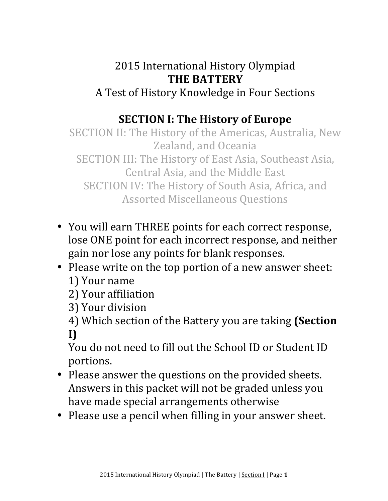## 2015 International History Olympiad **THE BATTERY**

## A Test of History Knowledge in Four Sections

## **SECTION I: The History of Europe**

SECTION II: The History of the Americas, Australia, New Zealand, and Oceania SECTION III: The History of East Asia, Southeast Asia, Central Asia, and the Middle East SECTION IV: The History of South Asia, Africa, and Assorted Miscellaneous Questions

- You will earn THREE points for each correct response, lose ONE point for each incorrect response, and neither gain nor lose any points for blank responses.
- Please write on the top portion of a new answer sheet: 1) Your name
	- 2) Your affiliation
	- 3) Your division
	- 4) Which section of the Battery you are taking **(Section I)**

You do not need to fill out the School ID or Student ID portions. 

- Please answer the questions on the provided sheets. Answers in this packet will not be graded unless you have made special arrangements otherwise
- Please use a pencil when filling in your answer sheet.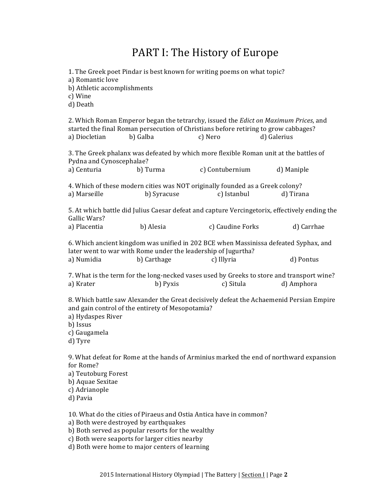## PART I: The History of Europe

1. The Greek poet Pindar is best known for writing poems on what topic? a) Romantic love b) Athletic accomplishments c) Wine d) Death 2. Which Roman Emperor began the tetrarchy, issued the *Edict on Maximum Prices*, and started the final Roman persecution of Christians before retiring to grow cabbages? a) Diocletian b) Galba c) Nero d) Galerius 3. The Greek phalanx was defeated by which more flexible Roman unit at the battles of Pydna and Cynoscephalae? a) Centuria b) Turma c) Contubernium d) Maniple 4. Which of these modern cities was NOT originally founded as a Greek colony? a) Marseille b) Syracuse c) Istanbul d) Tirana 5. At which battle did Julius Caesar defeat and capture Vercingetorix, effectively ending the Gallic Wars? a) Placentia b) Alesia c) Caudine Forks d) Carrhae 6. Which ancient kingdom was unified in 202 BCE when Massinissa defeated Syphax, and later went to war with Rome under the leadership of Jugurtha? a) Numidia b) Carthage c) Illyria d) Pontus 7. What is the term for the long-necked vases used by Greeks to store and transport wine? a) Krater b) Pyxis c) Situla d) Amphora 8. Which battle saw Alexander the Great decisively defeat the Achaemenid Persian Empire and gain control of the entirety of Mesopotamia? a) Hydaspes River b) Issus c) Gaugamela d) Tyre 9. What defeat for Rome at the hands of Arminius marked the end of northward expansion for Rome? a) Teutoburg Forest b) Aquae Sexitae c) Adrianople d) Pavia 10. What do the cities of Piraeus and Ostia Antica have in common? a) Both were destroyed by earthquakes b) Both served as popular resorts for the wealthy c) Both were seaports for larger cities nearby d) Both were home to major centers of learning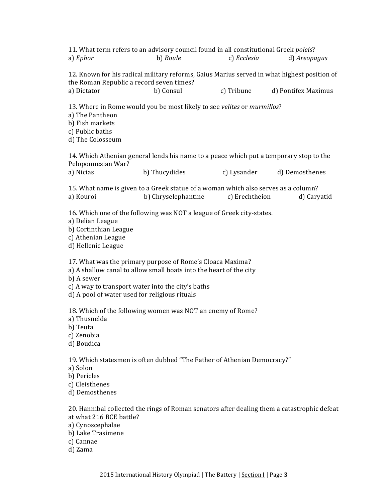| 11. What term refers to an advisory council found in all constitutional Greek poleis?<br>a) Ephor                                                                                                                                                   | b) Boule            | c) Ecclesia    | d) Areopagus                                                                                |
|-----------------------------------------------------------------------------------------------------------------------------------------------------------------------------------------------------------------------------------------------------|---------------------|----------------|---------------------------------------------------------------------------------------------|
| the Roman Republic a record seven times?                                                                                                                                                                                                            |                     |                | 12. Known for his radical military reforms, Gaius Marius served in what highest position of |
| a) Dictator                                                                                                                                                                                                                                         | b) Consul           | c) Tribune     | d) Pontifex Maximus                                                                         |
| 13. Where in Rome would you be most likely to see velites or murmillos?<br>a) The Pantheon<br>b) Fish markets<br>c) Public baths<br>d) The Colosseum                                                                                                |                     |                |                                                                                             |
| 14. Which Athenian general lends his name to a peace which put a temporary stop to the<br>Peloponnesian War?<br>a) Nicias                                                                                                                           | b) Thucydides       | c) Lysander    | d) Demosthenes                                                                              |
|                                                                                                                                                                                                                                                     |                     |                |                                                                                             |
| 15. What name is given to a Greek statue of a woman which also serves as a column?<br>a) Kouroi                                                                                                                                                     | b) Chryselephantine | c) Erechtheion | d) Caryatid                                                                                 |
| 16. Which one of the following was NOT a league of Greek city-states.<br>a) Delian League<br>b) Cortinthian League<br>c) Athenian League<br>d) Hellenic League                                                                                      |                     |                |                                                                                             |
| 17. What was the primary purpose of Rome's Cloaca Maxima?<br>a) A shallow canal to allow small boats into the heart of the city<br>b) A sewer<br>c) A way to transport water into the city's baths<br>d) A pool of water used for religious rituals |                     |                |                                                                                             |
| 18. Which of the following women was NOT an enemy of Rome?<br>a) Thusnelda<br>b) Teuta<br>c) Zenobia<br>d) Boudica                                                                                                                                  |                     |                |                                                                                             |
| 19. Which statesmen is often dubbed "The Father of Athenian Democracy?"<br>a) Solon<br>b) Pericles<br>c) Cleisthenes<br>d) Demosthenes                                                                                                              |                     |                |                                                                                             |
| at what 216 BCE battle?<br>a) Cynoscephalae<br>b) Lake Trasimene<br>c) Cannae<br>d) Zama                                                                                                                                                            |                     |                | 20. Hannibal collected the rings of Roman senators after dealing them a catastrophic defeat |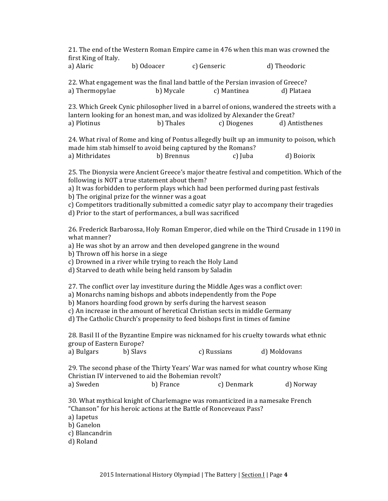21. The end of the Western Roman Empire came in 476 when this man was crowned the first King of Italy.

a) Alaric b) Odoacer c) Genseric d) Theodoric

22. What engagement was the final land battle of the Persian invasion of Greece? a) Thermopylae b) Mycale c) Mantinea d) Plataea

23. Which Greek Cynic philosopher lived in a barrel of onions, wandered the streets with a lantern looking for an honest man, and was idolized by Alexander the Great? a) Plotinus b) Thales c) Diogenes d) Antisthenes

24. What rival of Rome and king of Pontus allegedly built up an immunity to poison, which made him stab himself to avoid being captured by the Romans? a) Mithridates b) Brennus c) Juba d) Boiorix

25. The Dionysia were Ancient Greece's major theatre festival and competition. Which of the following is NOT a true statement about them?

a) It was forbidden to perform plays which had been performed during past festivals b) The original prize for the winner was a goat

c) Competitors traditionally submitted a comedic satyr play to accompany their tragedies

d) Prior to the start of performances, a bull was sacrificed

26. Frederick Barbarossa, Holy Roman Emperor, died while on the Third Crusade in 1190 in what manner?

a) He was shot by an arrow and then developed gangrene in the wound

b) Thrown off his horse in a siege

c) Drowned in a river while trying to reach the Holy Land

d) Starved to death while being held ransom by Saladin

27. The conflict over lay investiture during the Middle Ages was a conflict over:

a) Monarchs naming bishops and abbots independently from the Pope

b) Manors hoarding food grown by serfs during the harvest season

c) An increase in the amount of heretical Christian sects in middle Germany

d) The Catholic Church's propensity to feed bishops first in times of famine

28. Basil II of the Byzantine Empire was nicknamed for his cruelty towards what ethnic group of Eastern Europe?

a) Bulgars b) Slavs (c) Russians d) Moldovans

29. The second phase of the Thirty Years' War was named for what country whose King Christian IV intervened to aid the Bohemian revolt?

a) Sweden b) France c) Denmark d) Norway 

30. What mythical knight of Charlemagne was romanticized in a namesake French "Chanson" for his heroic actions at the Battle of Ronceveaux Pass?

a) Iapetus

b) Ganelon

c) Blancandrin

d) Roland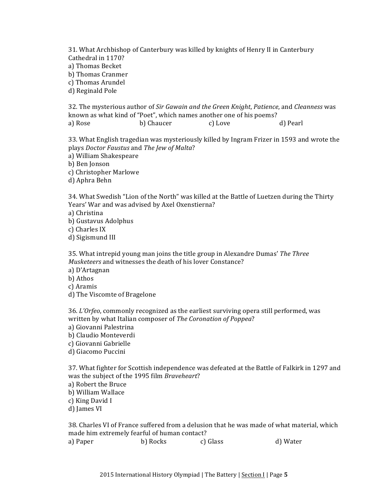31. What Archbishop of Canterbury was killed by knights of Henry II in Canterbury Cathedral in 1170? a) Thomas Becket b) Thomas Cranmer c) Thomas Arundel d) Reginald Pole

32. The mysterious author of *Sir Gawain and the Green Knight*, *Patience*, and *Cleanness* was known as what kind of "Poet", which names another one of his poems? a) Rose b) Chaucer c) Love d) Pearl

33. What English tragedian was mysteriously killed by Ingram Frizer in 1593 and wrote the plays *Doctor Faustus* and *The Jew of Malta*? a) William Shakespeare

b) Ben Jonson

c) Christopher Marlowe

d) Aphra Behn

34. What Swedish "Lion of the North" was killed at the Battle of Luetzen during the Thirty Years' War and was advised by Axel Oxenstierna?

a) Christina

b) Gustavus Adolphus

c) Charles IX

d) Sigismund III

35. What intrepid young man joins the title group in Alexandre Dumas' The Three *Musketeers* and witnesses the death of his lover Constance?

- a) D'Artagnan
- b) Athos
- c) Aramis
- d) The Viscomte of Bragelone

36. *L'Orfeo*, commonly recognized as the earliest surviving opera still performed, was written by what Italian composer of *The Coronation of Poppea*?

- a) Giovanni Palestrina
- b) Claudio Monteverdi

c) Giovanni Gabrielle

d) Giacomo Puccini

37. What fighter for Scottish independence was defeated at the Battle of Falkirk in 1297 and was the subject of the 1995 film *Braveheart*?

a) Robert the Bruce

b) William Wallace

c) King David I

d) James VI

38. Charles VI of France suffered from a delusion that he was made of what material, which made him extremely fearful of human contact? a) Paper b) Rocks c) Glass d) Water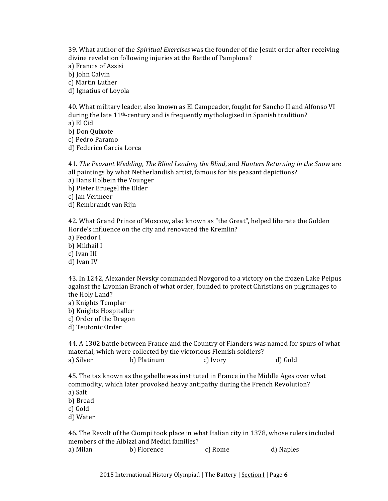39. What author of the *Spiritual Exercises* was the founder of the Jesuit order after receiving divine revelation following injuries at the Battle of Pamplona? a) Francis of Assisi b) John Calvin c) Martin Luther

d) Ignatius of Loyola

40. What military leader, also known as El Campeador, fought for Sancho II and Alfonso VI during the late 11<sup>th</sup>-century and is frequently mythologized in Spanish tradition? a) El Cid

b) Don Quixote

c) Pedro Paramo

d) Federico Garcia Lorca

41. *The Peasant Wedding*, *The Blind Leading the Blind*, and *Hunters Returning in the Snow* are all paintings by what Netherlandish artist, famous for his peasant depictions?

a) Hans Holbein the Younger

b) Pieter Bruegel the Elder

c) Jan Vermeer

d) Rembrandt van Rijn

42. What Grand Prince of Moscow, also known as "the Great", helped liberate the Golden Horde's influence on the city and renovated the Kremlin?

a) Feodor I

b) Mikhail I

c) Ivan III

d) Ivan IV

43. In 1242, Alexander Nevsky commanded Novgorod to a victory on the frozen Lake Peipus against the Livonian Branch of what order, founded to protect Christians on pilgrimages to the Holy Land?

a) Knights Templar b) Knights Hospitaller c) Order of the Dragon

d) Teutonic Order

44. A 1302 battle between France and the Country of Flanders was named for spurs of what material, which were collected by the victorious Flemish soldiers? a) Silver b) Platinum c) Ivory d) Gold

45. The tax known as the gabelle was instituted in France in the Middle Ages over what commodity, which later provoked heavy antipathy during the French Revolution? a) Salt

b) Bread

c) Gold

d) Water

46. The Revolt of the Ciompi took place in what Italian city in 1378, whose rulers included members of the Albizzi and Medici families? a) Milan b) Florence c) Rome d) Naples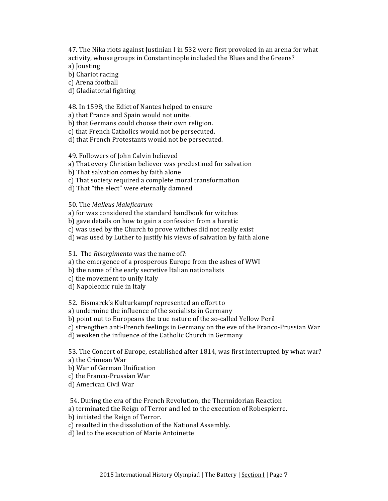$47.$  The Nika riots against Justinian I in 532 were first provoked in an arena for what activity, whose groups in Constantinople included the Blues and the Greens? a) Jousting

b) Chariot racing

c) Arena football

d) Gladiatorial fighting

48. In 1598, the Edict of Nantes helped to ensure

a) that France and Spain would not unite.

b) that Germans could choose their own religion.

c) that French Catholics would not be persecuted.

d) that French Protestants would not be persecuted.

49. Followers of John Calvin believed

a) That every Christian believer was predestined for salvation

b) That salvation comes by faith alone

c) That society required a complete moral transformation

d) That "the elect" were eternally damned

50. The *Malleus Maleficarum*

a) for was considered the standard handbook for witches

b) gave details on how to gain a confession from a heretic

c) was used by the Church to prove witches did not really exist

d) was used by Luther to justify his views of salvation by faith alone

51. The *Risorgimento* was the name of?:

a) the emergence of a prosperous Europe from the ashes of WWI

b) the name of the early secretive Italian nationalists

c) the movement to unify Italy

d) Napoleonic rule in Italy

52. Bismarck's Kulturkampf represented an effort to

a) undermine the influence of the socialists in Germany

b) point out to Europeans the true nature of the so-called Yellow Peril

c) strengthen anti-French feelings in Germany on the eve of the Franco-Prussian War

d) weaken the influence of the Catholic Church in Germany

53. The Concert of Europe, established after 1814, was first interrupted by what war?

a) the Crimean War

b) War of German Unification

c) the Franco-Prussian War

d) American Civil War

54. During the era of the French Revolution, the Thermidorian Reaction

a) terminated the Reign of Terror and led to the execution of Robespierre.

b) initiated the Reign of Terror.

c) resulted in the dissolution of the National Assembly.

d) led to the execution of Marie Antoinette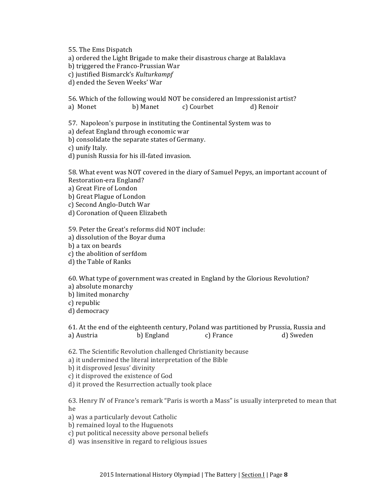55. The Ems Dispatch a) ordered the Light Brigade to make their disastrous charge at Balaklava b) triggered the Franco-Prussian War

c) justified Bismarck's *Kulturkampf*

d) ended the Seven Weeks' War

56. Which of the following would NOT be considered an Impressionist artist? a) Monet b) Manet c) Courbet d) Renoir

57. Napoleon's purpose in instituting the Continental System was to

a) defeat England through economic war

b) consolidate the separate states of Germany.

c) unify Italy.

d) punish Russia for his ill-fated invasion.

58. What event was NOT covered in the diary of Samuel Pepys, an important account of Restoration-era England?

a) Great Fire of London

b) Great Plague of London

c) Second Anglo-Dutch War

d) Coronation of Queen Elizabeth

59. Peter the Great's reforms did NOT include:

a) dissolution of the Boyar duma

b) a tax on beards

c) the abolition of serfdom

d) the Table of Ranks

60. What type of government was created in England by the Glorious Revolution?

a) absolute monarchy

b) limited monarchy

c) republic

d) democracy

61. At the end of the eighteenth century, Poland was partitioned by Prussia, Russia and a) Austria b) England c) France d) Sweden

62. The Scientific Revolution challenged Christianity because

a) it undermined the literal interpretation of the Bible

b) it disproved Jesus' divinity

c) it disproved the existence of God

d) it proved the Resurrection actually took place

63. Henry IV of France's remark "Paris is worth a Mass" is usually interpreted to mean that he

a) was a particularly devout Catholic

b) remained loyal to the Huguenots

c) put political necessity above personal beliefs

d) was insensitive in regard to religious issues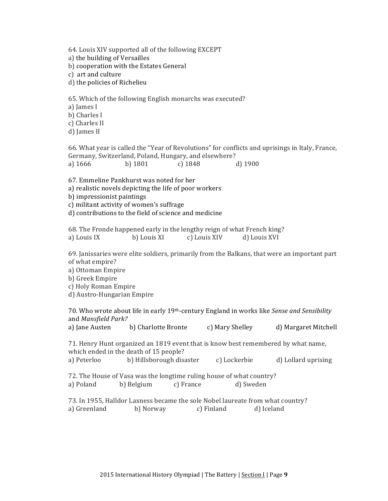64. Louis XIV supported all of the following EXCEPT a) the building of Versailles b) cooperation with the Estates General c) art and culture d) the policies of Richelieu

65. Which of the following English monarchs was executed? a) James I

b) Charles I

c) Charles II

d) James II

66. What year is called the "Year of Revolutions" for conflicts and uprisings in Italy, France, Germany, Switzerland, Poland, Hungary, and elsewhere? a)  $1666$  b)  $1801$  c)  $1848$  d)  $1900$ 

67. Emmeline Pankhurst was noted for her

a) realistic novels depicting the life of poor workers

b) impressionist paintings

c) militant activity of women's suffrage

d) contributions to the field of science and medicine

68. The Fronde happened early in the lengthy reign of what French king? a) Louis IX b) Louis XI c) Louis XIV d) Louis XVI

69. Janissaries were elite soldiers, primarily from the Balkans, that were an important part of what empire?

a) Ottoman Empire

b) Greek Empire

c) Holy Roman Empire

d) Austro-Hungarian Empire

70. Who wrote about life in early 19<sup>th</sup>-century England in works like *Sense and Sensibility* and *Mansfield Park?* a) Jane Austen b) Charlotte Bronte c) Mary Shelley d) Margaret Mitchell 71. Henry Hunt organized an 1819 event that is know best remembered by what name, which ended in the death of 15 people? a) Peterloo b) Hillsborough disaster c) Lockerbie d) Lollard uprising 72. The House of Vasa was the longtime ruling house of what country? a) Poland b) Belgium c) France d) Sweden 73. In 1955, Halldor Laxness became the sole Nobel laureate from what country? a) Greenland b) Norway c) Finland d) Iceland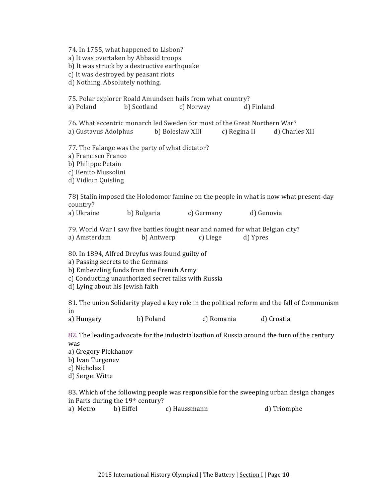| 74. In 1755, what happened to Lisbon?<br>a) It was overtaken by Abbasid troops<br>b) It was struck by a destructive earthquake<br>c) It was destroyed by peasant riots<br>d) Nothing. Absolutely nothing.                  |  |  |  |  |
|----------------------------------------------------------------------------------------------------------------------------------------------------------------------------------------------------------------------------|--|--|--|--|
| 75. Polar explorer Roald Amundsen hails from what country?<br>b) Scotland<br>c) Norway<br>a) Poland<br>d) Finland                                                                                                          |  |  |  |  |
| 76. What eccentric monarch led Sweden for most of the Great Northern War?<br>a) Gustavus Adolphus<br>b) Boleslaw XIII<br>c) Regina II<br>d) Charles XII                                                                    |  |  |  |  |
| 77. The Falange was the party of what dictator?<br>a) Francisco Franco<br>b) Philippe Petain<br>c) Benito Mussolini<br>d) Vidkun Quisling                                                                                  |  |  |  |  |
| 78) Stalin imposed the Holodomor famine on the people in what is now what present-day<br>country?<br>a) Ukraine<br>b) Bulgaria<br>c) Germany<br>d) Genovia                                                                 |  |  |  |  |
|                                                                                                                                                                                                                            |  |  |  |  |
| 79. World War I saw five battles fought near and named for what Belgian city?<br>a) Amsterdam<br>b) Antwerp<br>c) Liege<br>d) Ypres                                                                                        |  |  |  |  |
| 80. In 1894, Alfred Dreyfus was found guilty of<br>a) Passing secrets to the Germans<br>b) Embezzling funds from the French Army<br>c) Conducting unauthorized secret talks with Russia<br>d) Lying about his Jewish faith |  |  |  |  |
| 81. The union Solidarity played a key role in the political reform and the fall of Communism<br>in                                                                                                                         |  |  |  |  |
| b) Poland<br>a) Hungary<br>c) Romania<br>d) Croatia                                                                                                                                                                        |  |  |  |  |
| 82. The leading advocate for the industrialization of Russia around the turn of the century<br>was<br>a) Gregory Plekhanov<br>b) Ivan Turgenev<br>c) Nicholas I<br>d) Sergei Witte                                         |  |  |  |  |
| 83. Which of the following people was responsible for the sweeping urban design changes<br>in Paris during the 19th century?                                                                                               |  |  |  |  |
| d) Triomphe<br>a) Metro<br>b) Eiffel<br>c) Haussmann                                                                                                                                                                       |  |  |  |  |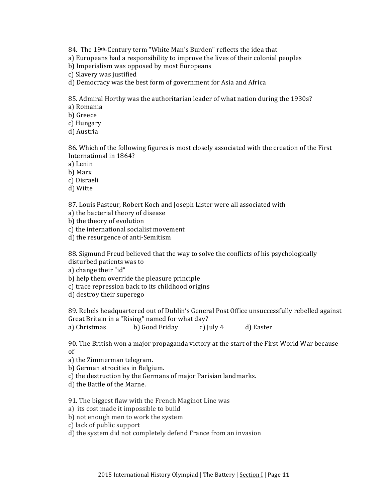84. The 19<sup>th</sup>-Century term "White Man's Burden" reflects the idea that

a) Europeans had a responsibility to improve the lives of their colonial peoples

b) Imperialism was opposed by most Europeans

c) Slavery was justified

d) Democracy was the best form of government for Asia and Africa

85. Admiral Horthy was the authoritarian leader of what nation during the 1930s?

a) Romania

b) Greece

c) Hungary

d) Austria

86. Which of the following figures is most closely associated with the creation of the First International in 1864?

a) Lenin

b) Marx

c) Disraeli

d) Witte

87. Louis Pasteur, Robert Koch and Joseph Lister were all associated with

a) the bacterial theory of disease

b) the theory of evolution

c) the international socialist movement

d) the resurgence of anti-Semitism

88. Sigmund Freud believed that the way to solve the conflicts of his psychologically disturbed patients was to

a) change their "id"

b) help them override the pleasure principle

c) trace repression back to its childhood origins

d) destroy their superego

89. Rebels headquartered out of Dublin's General Post Office unsuccessfully rebelled against Great Britain in a "Rising" named for what day? a) Christmas b) Good Friday c) July 4 d) Easter

90. The British won a major propaganda victory at the start of the First World War because

of

a) the Zimmerman telegram.

b) German atrocities in Belgium.

c) the destruction by the Germans of major Parisian landmarks.

d) the Battle of the Marne.

91. The biggest flaw with the French Maginot Line was

a) its cost made it impossible to build

b) not enough men to work the system

c) lack of public support

d) the system did not completely defend France from an invasion